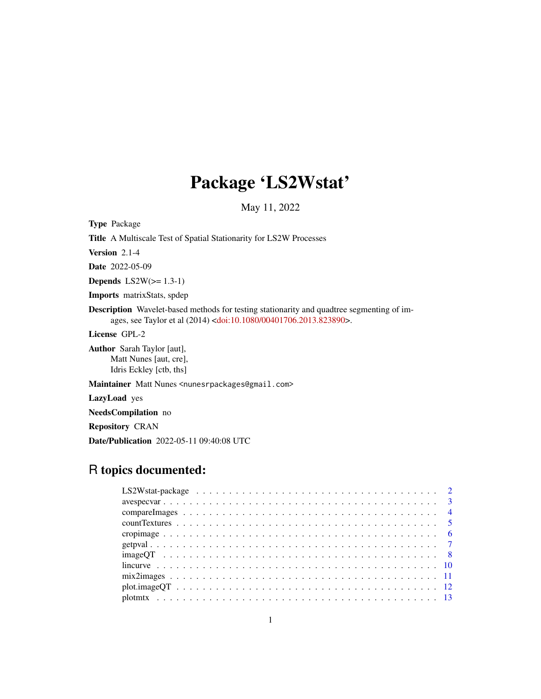# Package 'LS2Wstat'

May 11, 2022

<span id="page-0-0"></span>Type Package

Title A Multiscale Test of Spatial Stationarity for LS2W Processes

Version 2.1-4

Date 2022-05-09

Depends  $LS2W(>= 1.3-1)$ 

Imports matrixStats, spdep

Description Wavelet-based methods for testing stationarity and quadtree segmenting of images, see Taylor et al (2014) [<doi:10.1080/00401706.2013.823890>](https://doi.org/10.1080/00401706.2013.823890).

License GPL-2

Author Sarah Taylor [aut], Matt Nunes [aut, cre], Idris Eckley [ctb, ths]

Maintainer Matt Nunes <nunesrpackages@gmail.com>

LazyLoad yes

NeedsCompilation no

Repository CRAN

Date/Publication 2022-05-11 09:40:08 UTC

# R topics documented: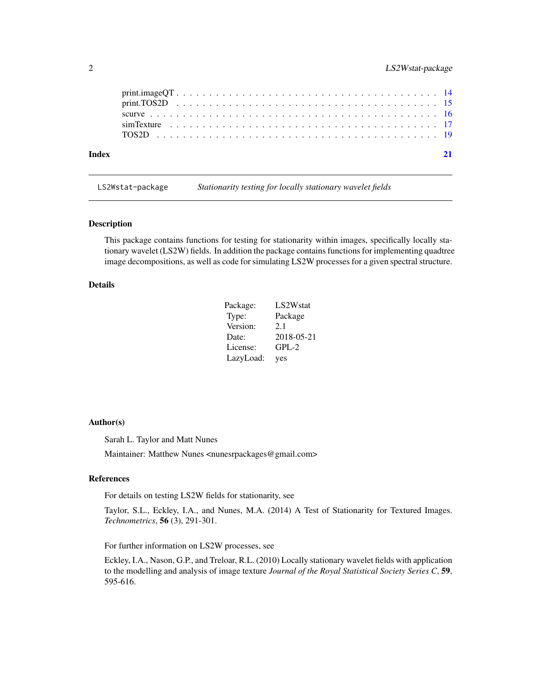<span id="page-1-0"></span>

| Index |  |  |  |  |  |  |  |  |  |  |  |  |  |  |  |  |  |  |
|-------|--|--|--|--|--|--|--|--|--|--|--|--|--|--|--|--|--|--|
|       |  |  |  |  |  |  |  |  |  |  |  |  |  |  |  |  |  |  |
|       |  |  |  |  |  |  |  |  |  |  |  |  |  |  |  |  |  |  |
|       |  |  |  |  |  |  |  |  |  |  |  |  |  |  |  |  |  |  |

LS2Wstat-package *Stationarity testing for locally stationary wavelet fields*

#### Description

This package contains functions for testing for stationarity within images, specifically locally stationary wavelet (LS2W) fields. In addition the package contains functions for implementing quadtree image decompositions, as well as code for simulating LS2W processes for a given spectral structure.

#### Details

| Package:  | LS2W <sub>stat</sub> |
|-----------|----------------------|
| Type:     | Package              |
| Version:  | 2.1                  |
| Date:     | 2018-05-21           |
| License:  | $GPL-2$              |
| LazyLoad: | yes                  |

#### Author(s)

Sarah L. Taylor and Matt Nunes

Maintainer: Matthew Nunes <nunesrpackages@gmail.com>

#### References

For details on testing LS2W fields for stationarity, see

Taylor, S.L., Eckley, I.A., and Nunes, M.A. (2014) A Test of Stationarity for Textured Images. *Technometrics*, 56 (3), 291-301.

For further information on LS2W processes, see

Eckley, I.A., Nason, G.P., and Treloar, R.L. (2010) Locally stationary wavelet fields with application to the modelling and analysis of image texture *Journal of the Royal Statistical Society Series C*, 59, 595-616.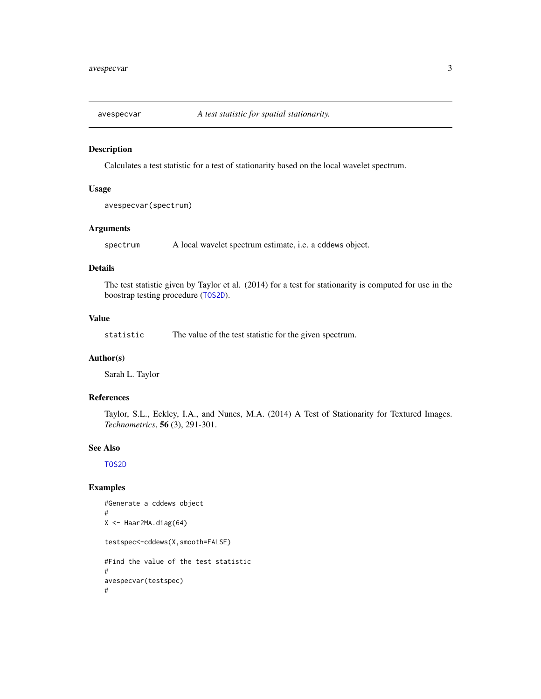<span id="page-2-1"></span><span id="page-2-0"></span>

#### Description

Calculates a test statistic for a test of stationarity based on the local wavelet spectrum.

# Usage

avespecvar(spectrum)

# Arguments

spectrum A local wavelet spectrum estimate, i.e. a cddews object.

# Details

The test statistic given by Taylor et al. (2014) for a test for stationarity is computed for use in the boostrap testing procedure ([TOS2D](#page-18-1)).

#### Value

statistic The value of the test statistic for the given spectrum.

#### Author(s)

Sarah L. Taylor

# References

Taylor, S.L., Eckley, I.A., and Nunes, M.A. (2014) A Test of Stationarity for Textured Images. *Technometrics*, 56 (3), 291-301.

#### See Also

[TOS2D](#page-18-1)

#### Examples

```
#Generate a cddews object
#
X <- Haar2MA.diag(64)
testspec<-cddews(X,smooth=FALSE)
#Find the value of the test statistic
#
avespecvar(testspec)
#
```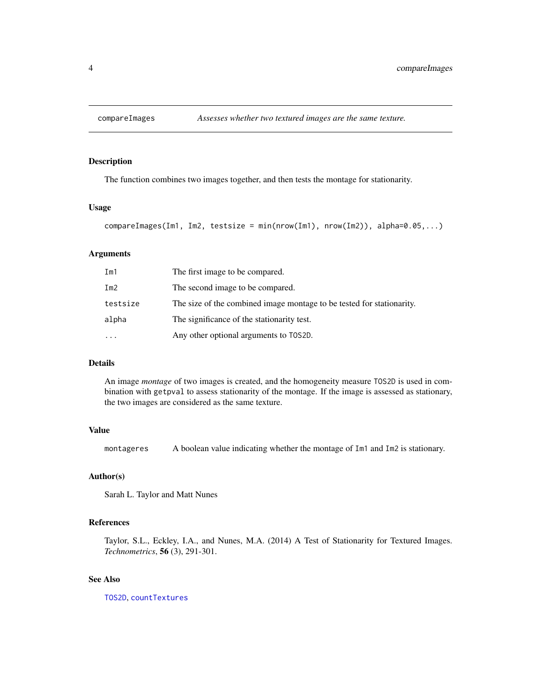# <span id="page-3-1"></span><span id="page-3-0"></span>Description

The function combines two images together, and then tests the montage for stationarity.

#### Usage

```
compareImages(Im1, Im2, testsize = min(nrow(Im1), nrow(Im2)), alpha=0.05,...)
```
#### Arguments

| Im1       | The first image to be compared.                                       |
|-----------|-----------------------------------------------------------------------|
| Im2       | The second image to be compared.                                      |
| testsize  | The size of the combined image montage to be tested for stationarity. |
| alpha     | The significance of the stationarity test.                            |
| $\ddotsc$ | Any other optional arguments to T0S2D.                                |

#### Details

An image *montage* of two images is created, and the homogeneity measure TOS2D is used in combination with getpval to assess stationarity of the montage. If the image is assessed as stationary, the two images are considered as the same texture.

#### Value

montageres A boolean value indicating whether the montage of Im1 and Im2 is stationary.

# Author(s)

Sarah L. Taylor and Matt Nunes

#### References

Taylor, S.L., Eckley, I.A., and Nunes, M.A. (2014) A Test of Stationarity for Textured Images. *Technometrics*, 56 (3), 291-301.

#### See Also

[TOS2D](#page-18-1), [countTextures](#page-4-1)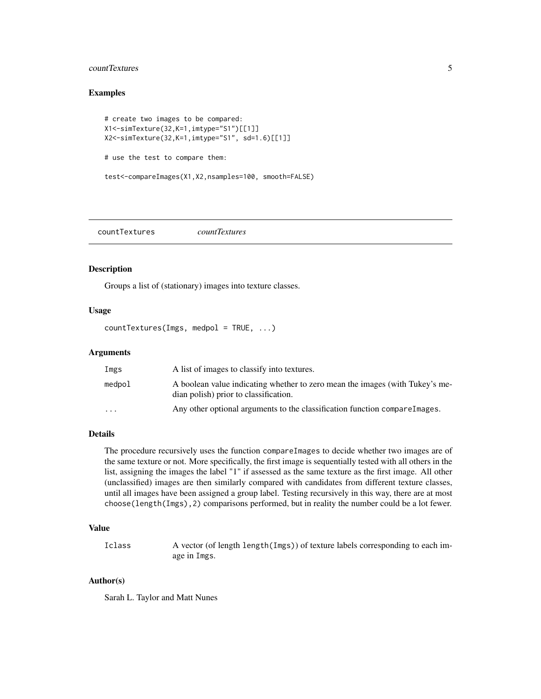# <span id="page-4-0"></span>countTextures 5

#### Examples

```
# create two images to be compared:
X1<-simTexture(32,K=1,imtype="S1")[[1]]
X2<-simTexture(32,K=1,imtype="S1", sd=1.6)[[1]]
# use the test to compare them:
test<-compareImages(X1,X2,nsamples=100, smooth=FALSE)
```
<span id="page-4-1"></span>countTextures *countTextures*

#### Description

Groups a list of (stationary) images into texture classes.

# Usage

countTextures(Imgs, medpol = TRUE, ...)

#### Arguments

| Imgs                    | A list of images to classify into textures.                                                                           |
|-------------------------|-----------------------------------------------------------------------------------------------------------------------|
| medpol                  | A boolean value indicating whether to zero mean the images (with Tukey's me-<br>dian polish) prior to classification. |
| $\cdot$ $\cdot$ $\cdot$ | Any other optional arguments to the classification function compareles.                                               |

#### Details

The procedure recursively uses the function compareImages to decide whether two images are of the same texture or not. More specifically, the first image is sequentially tested with all others in the list, assigning the images the label "1" if assessed as the same texture as the first image. All other (unclassified) images are then similarly compared with candidates from different texture classes, until all images have been assigned a group label. Testing recursively in this way, there are at most choose(length(Imgs),2) comparisons performed, but in reality the number could be a lot fewer.

#### Value

Iclass A vector (of length length(Imgs)) of texture labels corresponding to each image in Imgs.

#### Author(s)

Sarah L. Taylor and Matt Nunes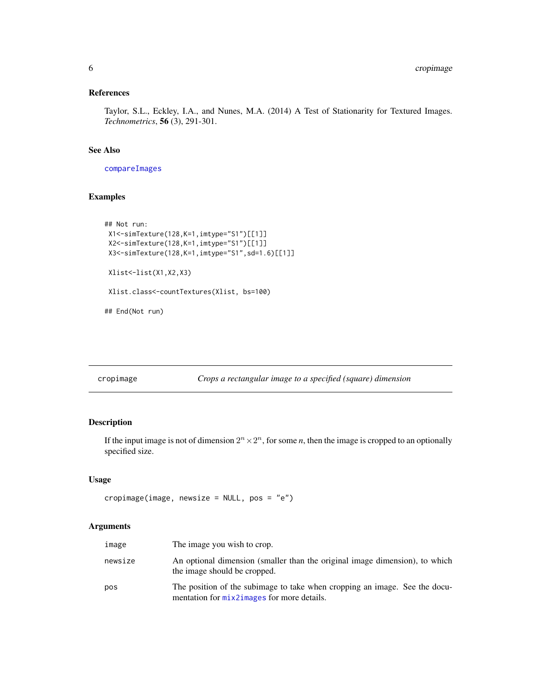#### <span id="page-5-0"></span>References

Taylor, S.L., Eckley, I.A., and Nunes, M.A. (2014) A Test of Stationarity for Textured Images. *Technometrics*, 56 (3), 291-301.

# See Also

[compareImages](#page-3-1)

# Examples

```
## Not run:
X1<-simTexture(128,K=1,imtype="S1")[[1]]
X2<-simTexture(128,K=1,imtype="S1")[[1]]
X3<-simTexture(128,K=1,imtype="S1",sd=1.6)[[1]]
Xlist<-list(X1,X2,X3)
Xlist.class<-countTextures(Xlist, bs=100)
## End(Not run)
```
cropimage *Crops a rectangular image to a specified (square) dimension*

# Description

If the input image is not of dimension  $2^n \times 2^n$ , for some *n*, then the image is cropped to an optionally specified size.

#### Usage

```
cropimage(image, newsize = NULL, pos = "e")
```
# Arguments

| image   | The image you wish to crop.                                                                                              |
|---------|--------------------------------------------------------------------------------------------------------------------------|
| newsize | An optional dimension (smaller than the original image dimension), to which<br>the image should be cropped.              |
| pos     | The position of the subimage to take when cropping an image. See the docu-<br>mentation for mix2images for more details. |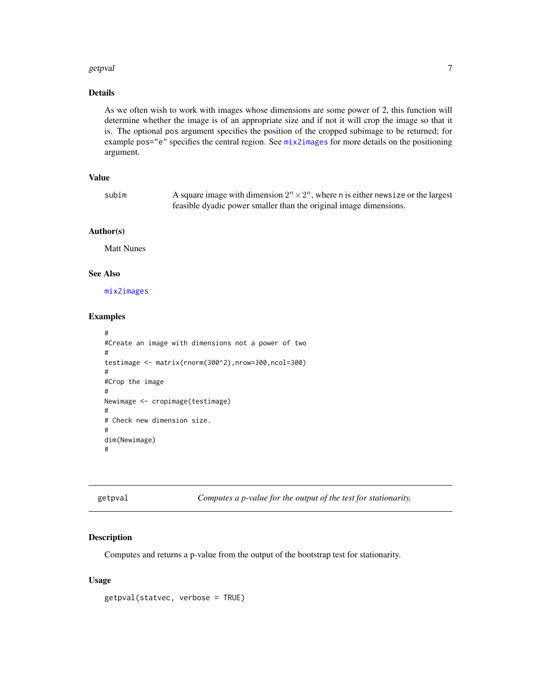#### <span id="page-6-0"></span>getpval and the set of the set of the set of the set of the set of the set of the set of the set of the set of the set of the set of the set of the set of the set of the set of the set of the set of the set of the set of t

#### Details

As we often wish to work with images whose dimensions are some power of 2, this function will determine whether the image is of an appropriate size and if not it will crop the image so that it is. The optional pos argument specifies the position of the cropped subimage to be returned; for example pos="e" specifies the central region. See [mix2images](#page-10-1) for more details on the positioning argument.

# Value

| subim | A square image with dimension $2^n \times 2^n$ , where n is either news ize or the largest |
|-------|--------------------------------------------------------------------------------------------|
|       | feasible dyadic power smaller than the original image dimensions.                          |

#### Author(s)

Matt Nunes

# See Also

[mix2images](#page-10-1)

#### Examples

```
#
#Create an image with dimensions not a power of two
#
testimage <- matrix(rnorm(300^2),nrow=300,ncol=300)
#
#Crop the image
#
Newimage <- cropimage(testimage)
#
# Check new dimension size.
#
dim(Newimage)
#
```
<span id="page-6-1"></span>getpval *Computes a p-value for the output of the test for stationarity.*

#### Description

Computes and returns a p-value from the output of the bootstrap test for stationarity.

#### Usage

getpval(statvec, verbose = TRUE)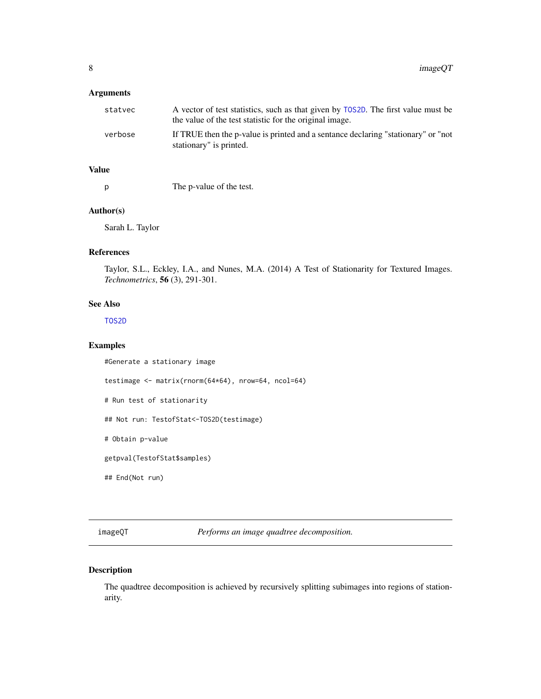# <span id="page-7-0"></span>Arguments

| statvec | A vector of test statistics, such as that given by T0S2D. The first value must be<br>the value of the test statistic for the original image. |
|---------|----------------------------------------------------------------------------------------------------------------------------------------------|
| verbose | If TRUE then the p-value is printed and a sentance declaring "stationary" or "not<br>stationary" is printed.                                 |

# Value

p The p-value of the test.

#### Author(s)

Sarah L. Taylor

# References

Taylor, S.L., Eckley, I.A., and Nunes, M.A. (2014) A Test of Stationarity for Textured Images. *Technometrics*, 56 (3), 291-301.

#### See Also

[TOS2D](#page-18-1)

# Examples

#Generate a stationary image

testimage <- matrix(rnorm(64\*64), nrow=64, ncol=64)

# Run test of stationarity

## Not run: TestofStat<-TOS2D(testimage)

# Obtain p-value

getpval(TestofStat\$samples)

## End(Not run)

<span id="page-7-1"></span>imageQT *Performs an image quadtree decomposition.*

# Description

The quadtree decomposition is achieved by recursively splitting subimages into regions of stationarity.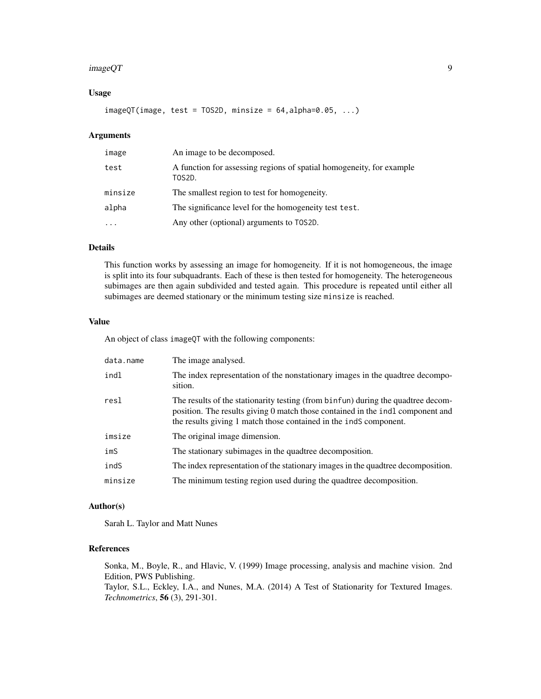#### $imageQT$  9

#### Usage

 $imageQT(image, test = TOS2D, minsize = 64, alpha=0.05, ...)$ 

# Arguments

| image   | An image to be decomposed.                                                     |
|---------|--------------------------------------------------------------------------------|
| test    | A function for assessing regions of spatial homogeneity, for example<br>TOS2D. |
| minsize | The smallest region to test for homogeneity.                                   |
| alpha   | The significance level for the homogeneity test test.                          |
|         | Any other (optional) arguments to TOS2D.                                       |

# Details

This function works by assessing an image for homogeneity. If it is not homogeneous, the image is split into its four subquadrants. Each of these is then tested for homogeneity. The heterogeneous subimages are then again subdivided and tested again. This procedure is repeated until either all subimages are deemed stationary or the minimum testing size minsize is reached.

#### Value

An object of class imageQT with the following components:

| data.name | The image analysed.                                                                                                                                                                                                                     |
|-----------|-----------------------------------------------------------------------------------------------------------------------------------------------------------------------------------------------------------------------------------------|
| indl      | The index representation of the nonstationary images in the quadtree decompo-<br>sition.                                                                                                                                                |
| resl      | The results of the stationarity testing (from binfun) during the quadtree decom-<br>position. The results giving 0 match those contained in the indl component and<br>the results giving 1 match those contained in the indS component. |
| imsize    | The original image dimension.                                                                                                                                                                                                           |
| imS       | The stationary subimages in the quadtree decomposition.                                                                                                                                                                                 |
| indS      | The index representation of the stationary images in the quadtree decomposition.                                                                                                                                                        |
| minsize   | The minimum testing region used during the quadtree decomposition.                                                                                                                                                                      |

#### Author(s)

Sarah L. Taylor and Matt Nunes

# References

Sonka, M., Boyle, R., and Hlavic, V. (1999) Image processing, analysis and machine vision. 2nd Edition, PWS Publishing.

Taylor, S.L., Eckley, I.A., and Nunes, M.A. (2014) A Test of Stationarity for Textured Images. *Technometrics*, 56 (3), 291-301.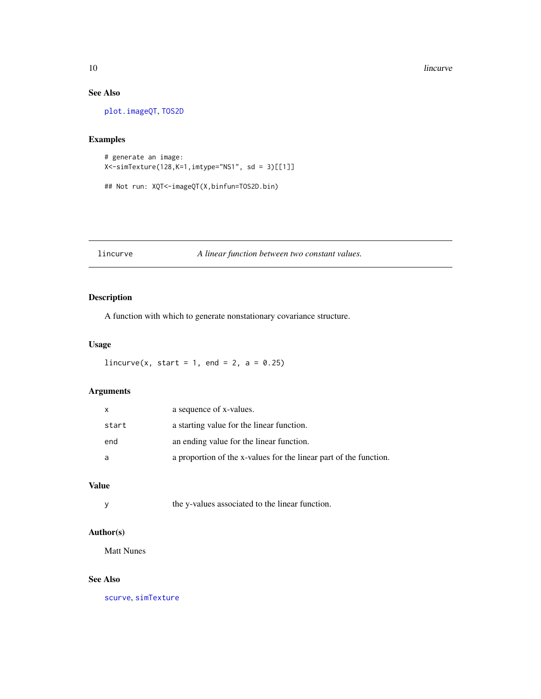# See Also

[plot.imageQT](#page-11-1), [TOS2D](#page-18-1)

# Examples

```
# generate an image:
X<-simTexture(128,K=1,imtype="NS1", sd = 3)[[1]]
```
## Not run: XQT<-imageQT(X,binfun=TOS2D.bin)

# <span id="page-9-1"></span>lincurve *A linear function between two constant values.*

# Description

A function with which to generate nonstationary covariance structure.

# Usage

```
lincurve(x, start = 1, end = 2, a = 0.25)
```
# Arguments

| $\mathsf{X}$ | a sequence of x-values.                                           |
|--------------|-------------------------------------------------------------------|
| start        | a starting value for the linear function.                         |
| end          | an ending value for the linear function.                          |
| a            | a proportion of the x-values for the linear part of the function. |

# Value

#### Author(s)

Matt Nunes

# See Also

[scurve](#page-15-1), [simTexture](#page-16-1)

<span id="page-9-0"></span>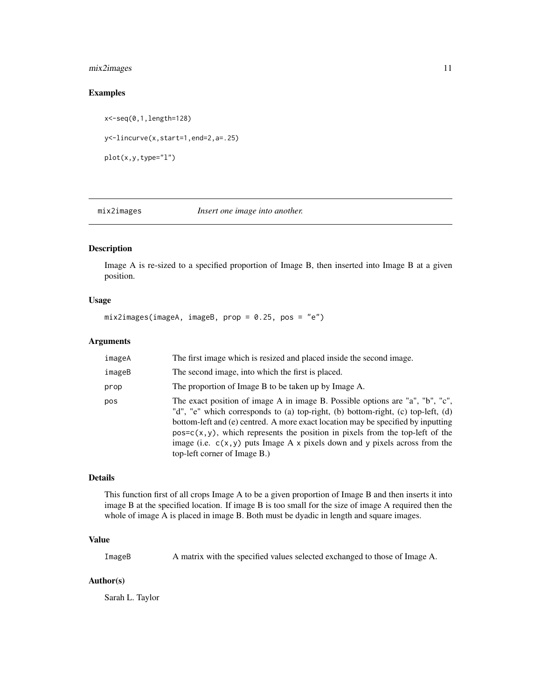# <span id="page-10-0"></span>mix2images 11

# Examples

x<-seq(0,1,length=128) y<-lincurve(x,start=1,end=2,a=.25) plot(x,y,type="l")

<span id="page-10-1"></span>mix2images *Insert one image into another.*

#### Description

Image A is re-sized to a specified proportion of Image B, then inserted into Image B at a given position.

#### Usage

mix2images(imageA, imageB, prop = 0.25, pos = "e")

#### Arguments

| imageA | The first image which is resized and placed inside the second image.                                                                                                                                                                                                                                                                                                                                                                                         |
|--------|--------------------------------------------------------------------------------------------------------------------------------------------------------------------------------------------------------------------------------------------------------------------------------------------------------------------------------------------------------------------------------------------------------------------------------------------------------------|
| imageB | The second image, into which the first is placed.                                                                                                                                                                                                                                                                                                                                                                                                            |
| prop   | The proportion of Image B to be taken up by Image A.                                                                                                                                                                                                                                                                                                                                                                                                         |
| pos    | The exact position of image A in image B. Possible options are "a", "b", "c",<br>"d", "e" which corresponds to (a) top-right, (b) bottom-right, (c) top-left, (d)<br>bottom-left and (e) centred. A more exact location may be specified by inputting<br>$pos = c(x, y)$ , which represents the position in pixels from the top-left of the<br>image (i.e. $c(x, y)$ puts Image A x pixels down and y pixels across from the<br>top-left corner of Image B.) |

#### Details

This function first of all crops Image A to be a given proportion of Image B and then inserts it into image B at the specified location. If image B is too small for the size of image A required then the whole of image A is placed in image B. Both must be dyadic in length and square images.

# Value

ImageB A matrix with the specified values selected exchanged to those of Image A.

#### Author(s)

Sarah L. Taylor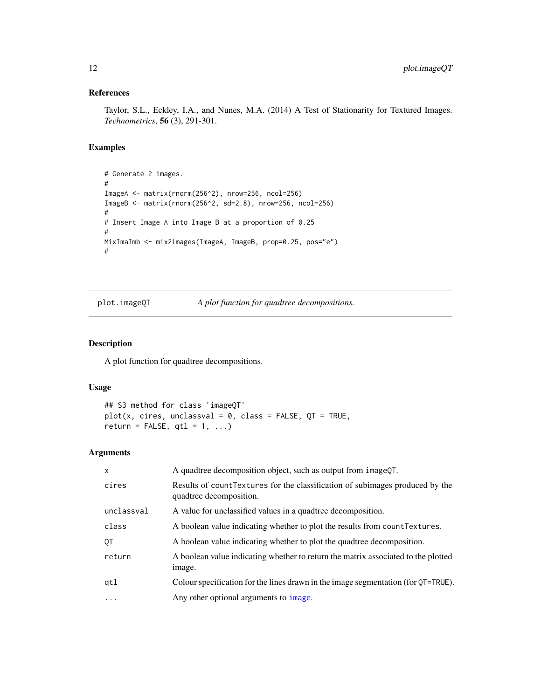# <span id="page-11-0"></span>References

Taylor, S.L., Eckley, I.A., and Nunes, M.A. (2014) A Test of Stationarity for Textured Images. *Technometrics*, 56 (3), 291-301.

#### Examples

```
# Generate 2 images.
#
ImageA <- matrix(rnorm(256^2), nrow=256, ncol=256)
ImageB <- matrix(rnorm(256^2, sd=2.8), nrow=256, ncol=256)
#
# Insert Image A into Image B at a proportion of 0.25
#
MixImaImb <- mix2images(ImageA, ImageB, prop=0.25, pos="e")
#
```
<span id="page-11-1"></span>plot.imageQT *A plot function for quadtree decompositions.*

#### Description

A plot function for quadtree decompositions.

# Usage

```
## S3 method for class 'imageQT'
plot(x, cires, unclassval = 0, class = FALSE, QT = TRUE,return = FALSE, qtl = 1, ...
```
# Arguments

| X          | A quadtree decomposition object, such as output from imageQT.                                            |
|------------|----------------------------------------------------------------------------------------------------------|
| cires      | Results of count Textures for the classification of subimages produced by the<br>quadtree decomposition. |
| unclassval | A value for unclassified values in a quadtree decomposition.                                             |
| class      | A boolean value indicating whether to plot the results from count Textures.                              |
| ОT         | A boolean value indicating whether to plot the quadtree decomposition.                                   |
| return     | A boolean value indicating whether to return the matrix associated to the plotted<br>image.              |
| qtl        | Colour specification for the lines drawn in the image segmentation (for QT=TRUE).                        |
| $\cdot$    | Any other optional arguments to <i>image</i> .                                                           |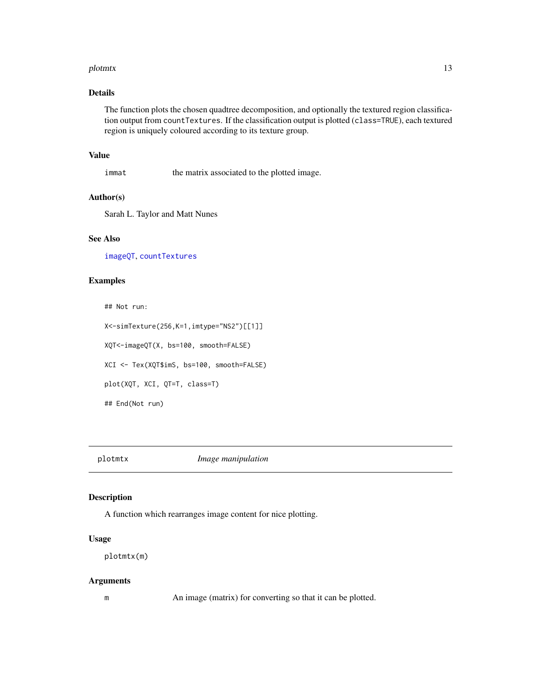#### <span id="page-12-0"></span>plotmtx and the state of the state of the state of the state of the state of the state of the state of the state of the state of the state of the state of the state of the state of the state of the state of the state of th

# Details

The function plots the chosen quadtree decomposition, and optionally the textured region classification output from countTextures. If the classification output is plotted (class=TRUE), each textured region is uniquely coloured according to its texture group.

# Value

immat the matrix associated to the plotted image.

#### Author(s)

Sarah L. Taylor and Matt Nunes

# See Also

[imageQT](#page-7-1), [countTextures](#page-4-1)

#### Examples

## Not run: X<-simTexture(256,K=1,imtype="NS2")[[1]] XQT<-imageQT(X, bs=100, smooth=FALSE) XCI <- Tex(XQT\$imS, bs=100, smooth=FALSE) plot(XQT, XCI, QT=T, class=T) ## End(Not run)

plotmtx *Image manipulation*

#### Description

A function which rearranges image content for nice plotting.

# Usage

plotmtx(m)

#### Arguments

m An image (matrix) for converting so that it can be plotted.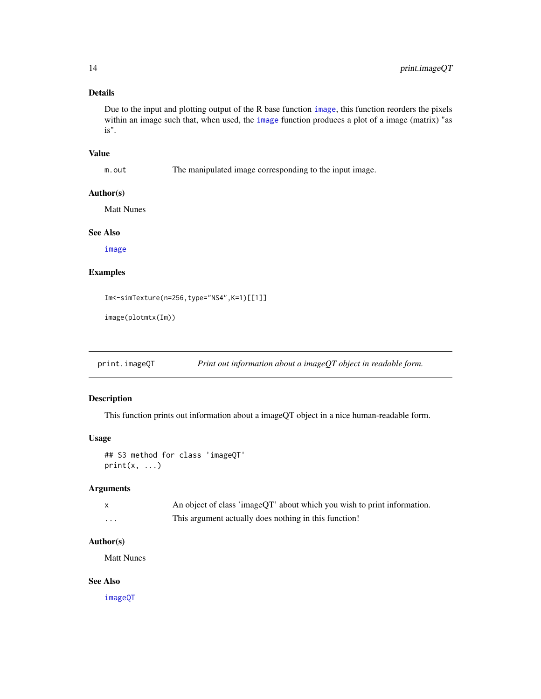# <span id="page-13-0"></span>Details

Due to the input and plotting output of the R base function [image](#page-0-0), this function reorders the pixels within an image such that, when used, the [image](#page-0-0) function produces a plot of a image (matrix) "as is".

#### Value

m.out The manipulated image corresponding to the input image.

#### Author(s)

Matt Nunes

#### See Also

[image](#page-0-0)

# Examples

Im<-simTexture(n=256,type="NS4",K=1)[[1]]

```
image(plotmtx(Im))
```
print.imageQT *Print out information about a imageQT object in readable form.*

# Description

This function prints out information about a imageQT object in a nice human-readable form.

# Usage

```
## S3 method for class 'imageQT'
print(x, \ldots)
```
# Arguments

|   | An object of class 'imageQT' about which you wish to print information. |
|---|-------------------------------------------------------------------------|
| . | This argument actually does nothing in this function!                   |

#### Author(s)

Matt Nunes

# See Also

[imageQT](#page-7-1)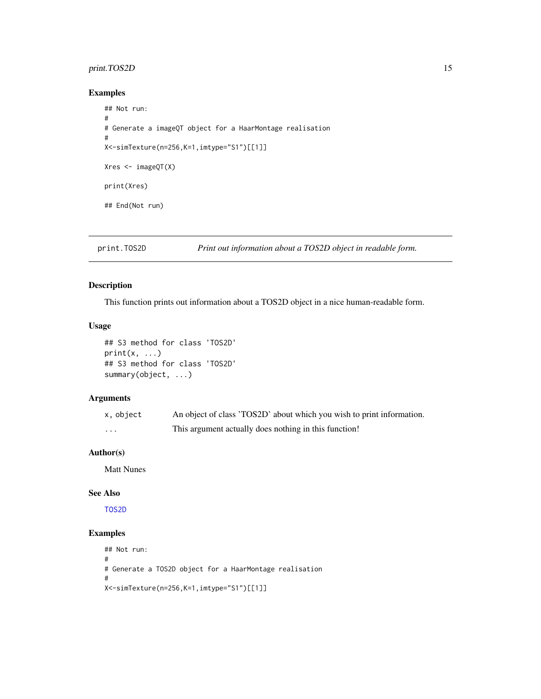# <span id="page-14-0"></span>print.TOS2D 15

#### Examples

```
## Not run:
#
# Generate a imageQT object for a HaarMontage realisation
#
X<-simTexture(n=256,K=1,imtype="S1")[[1]]
Xres <- imageQT(X)
print(Xres)
## End(Not run)
```
print.TOS2D *Print out information about a TOS2D object in readable form.*

# Description

This function prints out information about a TOS2D object in a nice human-readable form.

#### Usage

```
## S3 method for class 'TOS2D'
print(x, \ldots)## S3 method for class 'TOS2D'
summary(object, ...)
```
# Arguments

| x, object | An object of class 'TOS2D' about which you wish to print information. |
|-----------|-----------------------------------------------------------------------|
| .         | This argument actually does nothing in this function!                 |

# Author(s)

Matt Nunes

# See Also

[TOS2D](#page-18-1)

#### Examples

```
## Not run:
#
# Generate a TOS2D object for a HaarMontage realisation
#
X<-simTexture(n=256,K=1,imtype="S1")[[1]]
```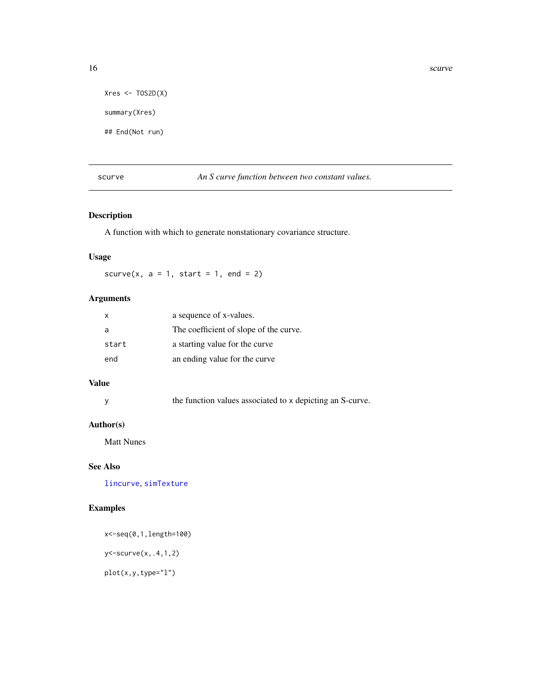```
Xres \leftarrow TOS2D(X)summary(Xres)
## End(Not run)
```
<span id="page-15-1"></span>

scurve *An S curve function between two constant values.*

# Description

A function with which to generate nonstationary covariance structure.

# Usage

scurve(x,  $a = 1$ , start = 1, end = 2)

# Arguments

| X.    | a sequence of x-values.                |
|-------|----------------------------------------|
| -a    | The coefficient of slope of the curve. |
| start | a starting value for the curve         |
| end   | an ending value for the curve          |

# Value

| the function values associated to x depicting an S-curve. |  |
|-----------------------------------------------------------|--|
|-----------------------------------------------------------|--|

#### Author(s)

Matt Nunes

# See Also

[lincurve](#page-9-1), [simTexture](#page-16-1)

# Examples

x<-seq(0,1,length=100) y<-scurve(x,.4,1,2)

plot(x,y,type="l")

<span id="page-15-0"></span>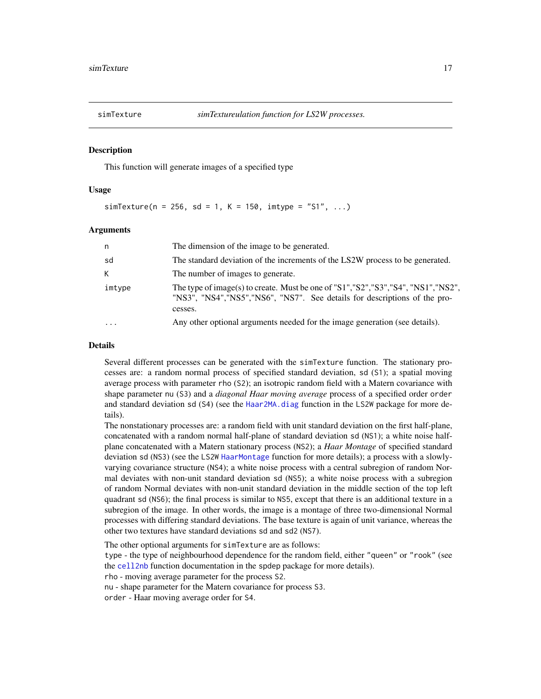<span id="page-16-1"></span><span id="page-16-0"></span>

#### Description

This function will generate images of a specified type

#### Usage

 $simTexture(n = 256, sd = 1, K = 150, imtype = "S1", ...)$ 

#### Arguments

| n      | The dimension of the image to be generated.                                                                                                                                    |
|--------|--------------------------------------------------------------------------------------------------------------------------------------------------------------------------------|
| sd     | The standard deviation of the increments of the LS2W process to be generated.                                                                                                  |
| К      | The number of images to generate.                                                                                                                                              |
| imtype | The type of image(s) to create. Must be one of "S1", "S2", "S3", "S4", "NS1", "NS2",<br>"NS3", "NS4", "NS5", "NS6", "NS7". See details for descriptions of the pro-<br>cesses. |
|        | Any other optional arguments needed for the image generation (see details).                                                                                                    |

#### Details

Several different processes can be generated with the simTexture function. The stationary processes are: a random normal process of specified standard deviation, sd (S1); a spatial moving average process with parameter rho (S2); an isotropic random field with a Matern covariance with shape parameter nu (S3) and a *diagonal Haar moving average* process of a specified order order and standard deviation sd (S4) (see the [Haar2MA.diag](#page-0-0) function in the LS2W package for more details).

The nonstationary processes are: a random field with unit standard deviation on the first half-plane, concatenated with a random normal half-plane of standard deviation sd (NS1); a white noise halfplane concatenated with a Matern stationary process (NS2); a *Haar Montage* of specified standard deviation sd (NS3) (see the LS2W [HaarMontage](#page-0-0) function for more details); a process with a slowlyvarying covariance structure (NS4); a white noise process with a central subregion of random Normal deviates with non-unit standard deviation sd (NS5); a white noise process with a subregion of random Normal deviates with non-unit standard deviation in the middle section of the top left quadrant sd (NS6); the final process is similar to NS5, except that there is an additional texture in a subregion of the image. In other words, the image is a montage of three two-dimensional Normal processes with differing standard deviations. The base texture is again of unit variance, whereas the other two textures have standard deviations sd and sd2 (NS7).

The other optional arguments for simTexture are as follows:

type - the type of neighbourhood dependence for the random field, either "queen" or "rook" (see the [cell2nb](#page-0-0) function documentation in the spdep package for more details).

rho - moving average parameter for the process S2.

nu - shape parameter for the Matern covariance for process S3.

order - Haar moving average order for S4.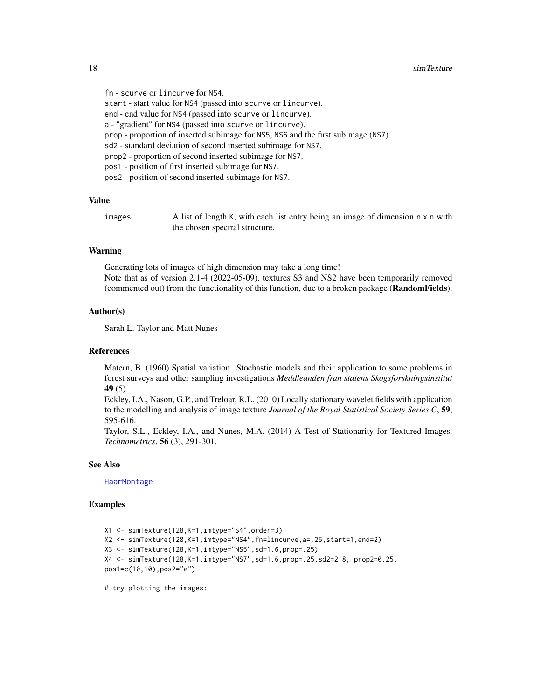fn - scurve or lincurve for NS4. start - start value for NS4 (passed into scurve or lincurve). end - end value for NS4 (passed into scurve or lincurve). a - "gradient" for NS4 (passed into scurve or lincurve). prop - proportion of inserted subimage for NS5, NS6 and the first subimage (NS7). sd2 - standard deviation of second inserted subimage for NS7. prop2 - proportion of second inserted subimage for NS7. pos1 - position of first inserted subimage for NS7. pos2 - position of second inserted subimage for NS7.

#### Value

images  $\Delta$  list of length K, with each list entry being an image of dimension  $n \times n$  with the chosen spectral structure.

#### Warning

Generating lots of images of high dimension may take a long time! Note that as of version 2.1-4 (2022-05-09), textures S3 and NS2 have been temporarily removed (commented out) from the functionality of this function, due to a broken package (RandomFields).

#### Author(s)

Sarah L. Taylor and Matt Nunes

#### References

Matern, B. (1960) Spatial variation. Stochastic models and their application to some problems in forest surveys and other sampling investigations *Meddleanden fran statens Skogsforskningsinstitut* 49 (5).

Eckley, I.A., Nason, G.P., and Treloar, R.L. (2010) Locally stationary wavelet fields with application to the modelling and analysis of image texture *Journal of the Royal Statistical Society Series C*, 59, 595-616.

Taylor, S.L., Eckley, I.A., and Nunes, M.A. (2014) A Test of Stationarity for Textured Images. *Technometrics*, 56 (3), 291-301.

#### See Also

[HaarMontage](#page-0-0)

#### Examples

```
X1 <- simTexture(128,K=1,imtype="S4",order=3)
X2 <- simTexture(128,K=1,imtype="NS4",fn=lincurve,a=.25,start=1,end=2)
X3 <- simTexture(128,K=1,imtype="NS5",sd=1.6,prop=.25)
X4 <- simTexture(128,K=1,imtype="NS7",sd=1.6,prop=.25,sd2=2.8, prop2=0.25,
pos1=c(10,10),pos2="e")
```
# try plotting the images:

<span id="page-17-0"></span>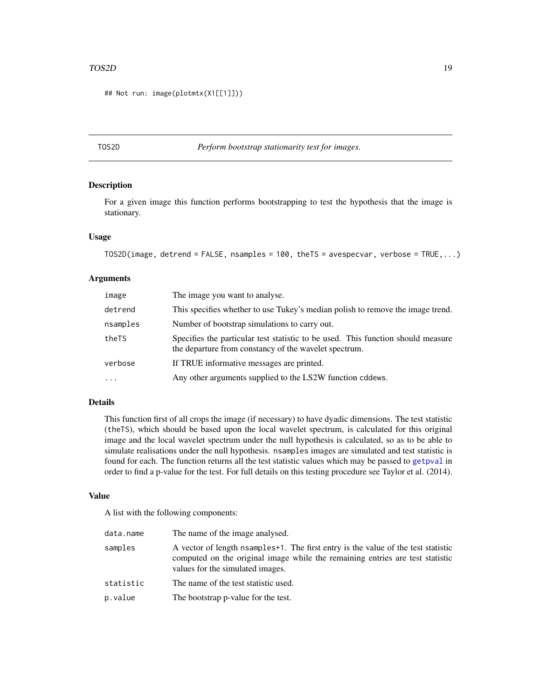#### <span id="page-18-0"></span>TOS2D 19

## Not run: image(plotmtx(X1[[1]]))

#### <span id="page-18-1"></span>TOS2D *Perform bootstrap stationarity test for images.*

#### Description

For a given image this function performs bootstrapping to test the hypothesis that the image is stationary.

#### Usage

```
TOS2D(image, detrend = FALSE, nsamples = 100, theTS = avespecvar, verbose = TRUE,...)
```
#### Arguments

| image    | The image you want to analyse.                                                                                                            |
|----------|-------------------------------------------------------------------------------------------------------------------------------------------|
| detrend  | This specifies whether to use Tukey's median polish to remove the image trend.                                                            |
| nsamples | Number of bootstrap simulations to carry out.                                                                                             |
| theTS    | Specifies the particular test statistic to be used. This function should measure<br>the departure from constancy of the wavelet spectrum. |
| verbose  | If TRUE informative messages are printed.                                                                                                 |
| $\cdots$ | Any other arguments supplied to the LS2W function cddews.                                                                                 |

#### Details

This function first of all crops the image (if necessary) to have dyadic dimensions. The test statistic (theTS), which should be based upon the local wavelet spectrum, is calculated for this original image and the local wavelet spectrum under the null hypothesis is calculated, so as to be able to simulate realisations under the null hypothesis. nsamples images are simulated and test statistic is found for each. The function returns all the test statistic values which may be passed to [getpval](#page-6-1) in order to find a p-value for the test. For full details on this testing procedure see Taylor et al. (2014).

#### Value

A list with the following components:

| data.name | The name of the image analysed.                                                                                                                                                                         |
|-----------|---------------------------------------------------------------------------------------------------------------------------------------------------------------------------------------------------------|
| samples   | A vector of length nsamples +1. The first entry is the value of the test statistic<br>computed on the original image while the remaining entries are test statistic<br>values for the simulated images. |
| statistic | The name of the test statistic used.                                                                                                                                                                    |
| p.value   | The bootstrap p-value for the test.                                                                                                                                                                     |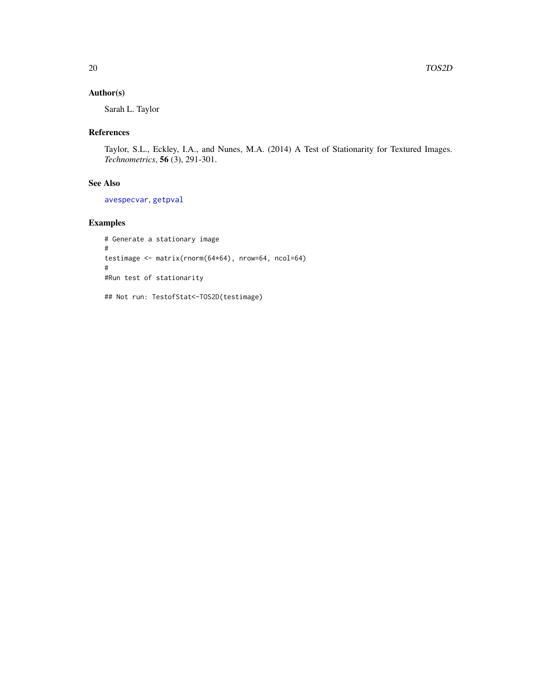#### <span id="page-19-0"></span>Author(s)

Sarah L. Taylor

#### References

Taylor, S.L., Eckley, I.A., and Nunes, M.A. (2014) A Test of Stationarity for Textured Images. *Technometrics*, 56 (3), 291-301.

# See Also

[avespecvar](#page-2-1), [getpval](#page-6-1)

# Examples

```
# Generate a stationary image
#
testimage <- matrix(rnorm(64*64), nrow=64, ncol=64)
#
#Run test of stationarity
```
## Not run: TestofStat<-TOS2D(testimage)